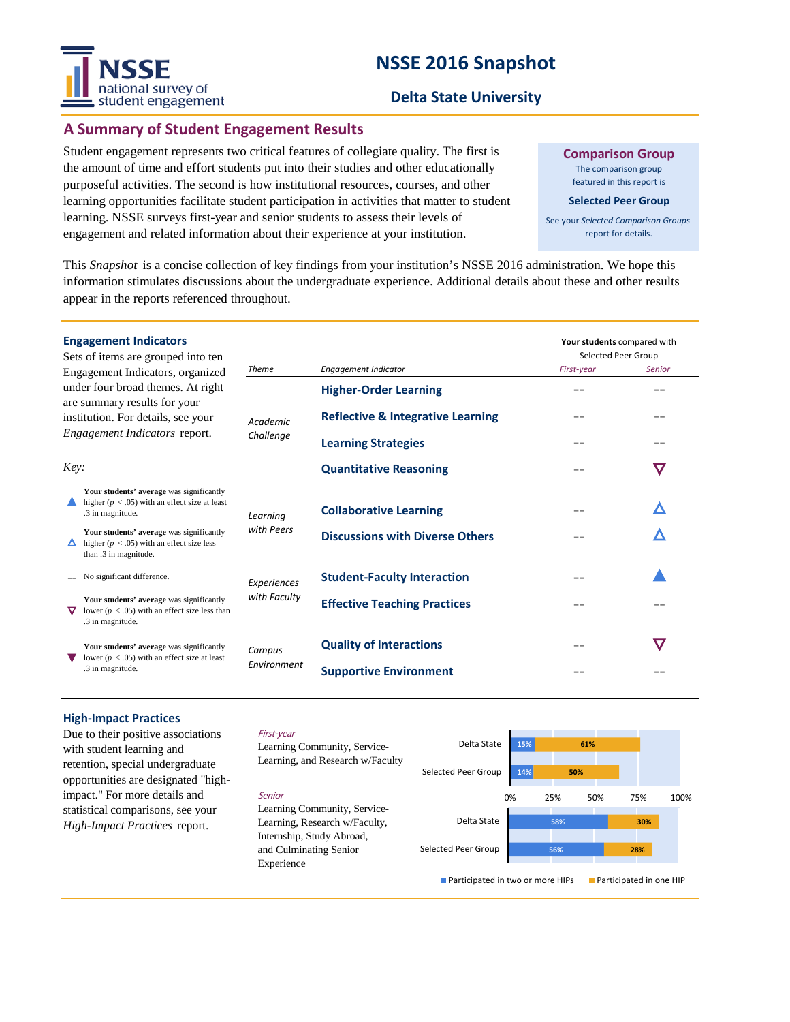# **NSSE 2016 Snapshot**



### **Delta State University**

### **A Summary of Student Engagement Results**

Student engagement represents two critical features of collegiate quality. The first is the amount of time and effort students put into their studies and other educationally purposeful activities. The second is how institutional resources, courses, and other learning opportunities facilitate student participation in activities that matter to student learning. NSSE surveys first-year and senior students to assess their levels of engagement and related information about their experience at your institution.

**Comparison Group** The comparison group

featured in this report is

**Selected Peer Group**

See your *Selected Comparison Groups*  report for details.

This *Snapshot* is a concise collection of key findings from your institution's NSSE 2016 administration. We hope this information stimulates discussions about the undergraduate experience. Additional details about these and other results appear in the reports referenced throughout.

|                                                                                                                                                                                     | <b>Engagement Indicators</b><br>Sets of items are grouped into ten                                                 |                              |                                              | Your students compared with<br>Selected Peer Group |               |
|-------------------------------------------------------------------------------------------------------------------------------------------------------------------------------------|--------------------------------------------------------------------------------------------------------------------|------------------------------|----------------------------------------------|----------------------------------------------------|---------------|
| Engagement Indicators, organized<br>under four broad themes. At right<br>are summary results for your<br>institution. For details, see your<br><i>Engagement Indicators report.</i> |                                                                                                                    | <b>Theme</b>                 | <b>Engagement Indicator</b>                  | First-year                                         | <b>Senior</b> |
|                                                                                                                                                                                     |                                                                                                                    | <b>Academic</b><br>Challenge | <b>Higher-Order Learning</b>                 |                                                    | --            |
|                                                                                                                                                                                     |                                                                                                                    |                              | <b>Reflective &amp; Integrative Learning</b> |                                                    |               |
|                                                                                                                                                                                     |                                                                                                                    |                              | <b>Learning Strategies</b>                   |                                                    |               |
| Key:                                                                                                                                                                                |                                                                                                                    |                              | <b>Quantitative Reasoning</b>                |                                                    | $\bm{\nabla}$ |
|                                                                                                                                                                                     | Your students' average was significantly<br>higher ( $p < .05$ ) with an effect size at least<br>.3 in magnitude.  | Learning                     | <b>Collaborative Learning</b>                |                                                    |               |
|                                                                                                                                                                                     | Your students' average was significantly<br>higher ( $p < .05$ ) with an effect size less<br>than .3 in magnitude. | with Peers                   | <b>Discussions with Diverse Others</b>       |                                                    |               |
|                                                                                                                                                                                     | No significant difference.                                                                                         | Experiences                  | <b>Student-Faculty Interaction</b>           |                                                    |               |
|                                                                                                                                                                                     | Your students' average was significantly<br>lower ( $p < .05$ ) with an effect size less than<br>.3 in magnitude.  | with Faculty                 | <b>Effective Teaching Practices</b>          |                                                    |               |
|                                                                                                                                                                                     | Your students' average was significantly<br>lower ( $p < .05$ ) with an effect size at least<br>.3 in magnitude.   | Campus<br>Environment        | <b>Quality of Interactions</b>               | --                                                 | $\bm{\nabla}$ |
|                                                                                                                                                                                     |                                                                                                                    |                              | <b>Supportive Environment</b>                |                                                    |               |
|                                                                                                                                                                                     |                                                                                                                    |                              |                                              |                                                    |               |

#### **High-Impact Practices**

Due to their positive associations with student learning and retention, special undergraduate opportunities are designated "highimpact." For more details and statistical comparisons, see your *High-Impact Practices* report.

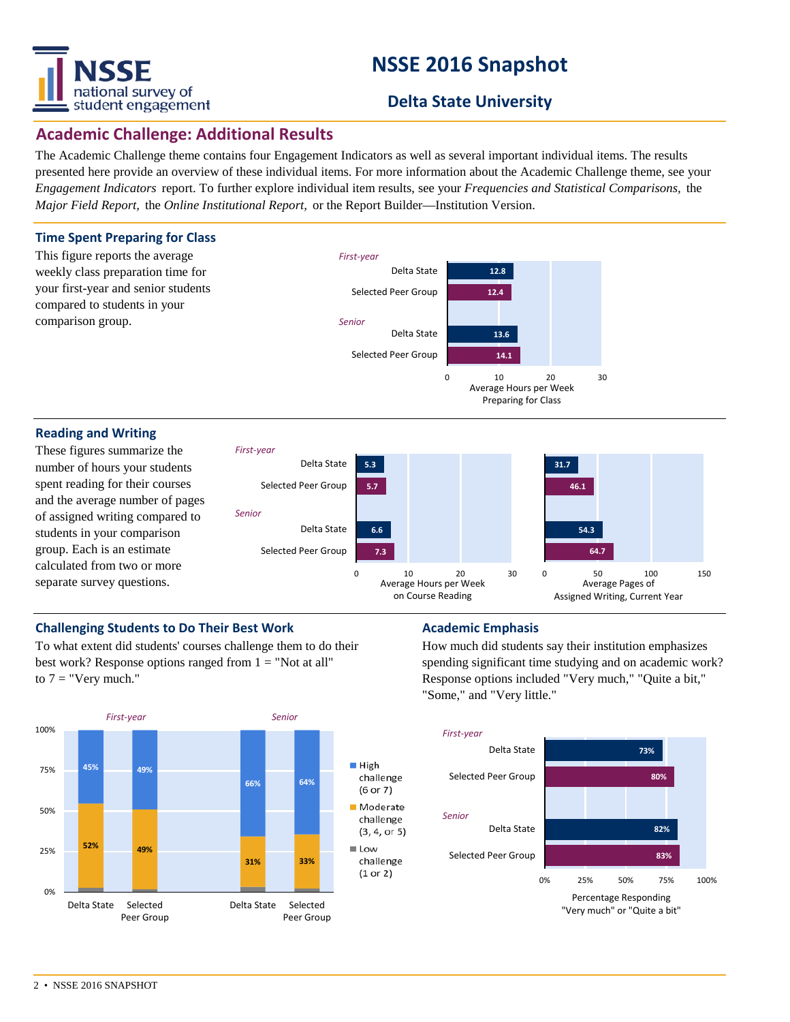

# **NSSE 2016 Snapshot**

# **Delta State University**

# **Academic Challenge: Additional Results**

The Academic Challenge theme contains four Engagement Indicators as well as several important individual items. The results presented here provide an overview of these individual items. For more information about the Academic Challenge theme, see your *Engagement Indicators* report. To further explore individual item results, see your *Frequencies and Statistical Comparisons,* the *Major Field Report,* the *Online Institutional Report,* or the Report Builder—Institution Version.

#### **Time Spent Preparing for Class**



#### **Reading and Writing**

These figures summarize the number of hours your students spent reading for their courses and the average number of pages of assigned writing compared to students in your comparison group. Each is an estimate calculated from two or more separate survey questions.



#### **Challenging Students to Do Their Best Work <b>Academic Emphasis**

To what extent did students' courses challenge them to do their best work? Response options ranged from  $1 = "Not at all"$ to  $7 =$  "Very much."



How much did students say their institution emphasizes spending significant time studying and on academic work? Response options included "Very much," "Quite a bit," "Some," and "Very little."

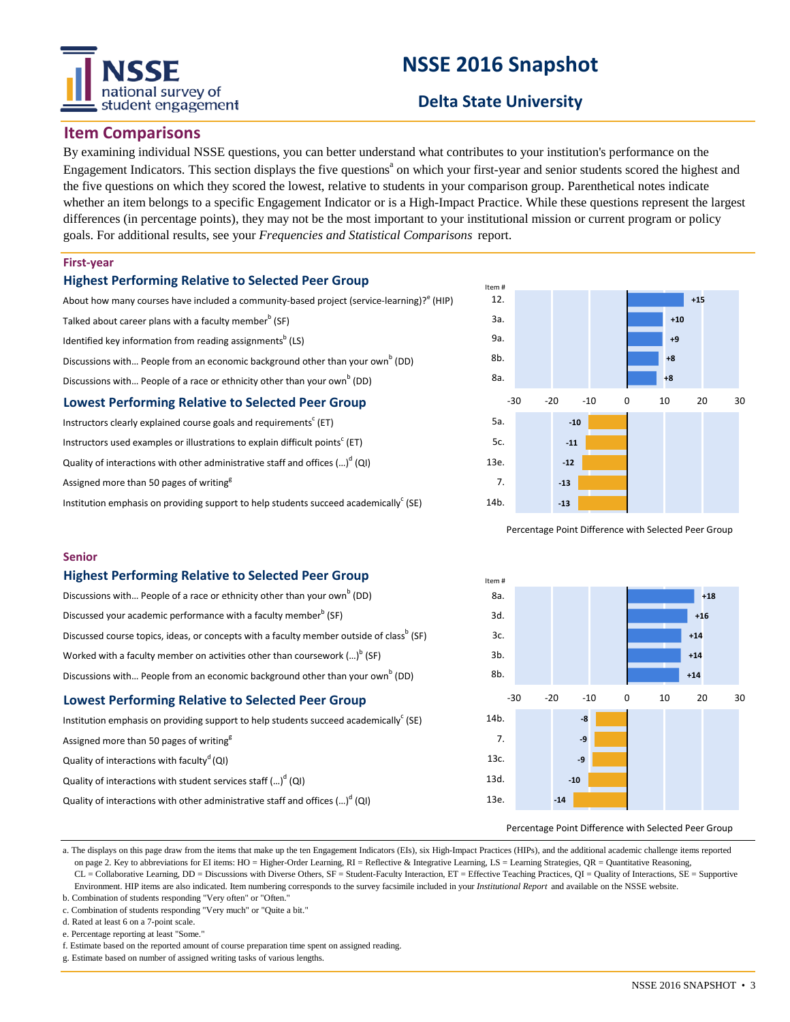# national survey of student engagement

# **NSSE 2016 Snapshot**

# **Delta State University**

## **Item Comparisons**

By examining individual NSSE questions, you can better understand what contributes to your institution's performance on the Engagement Indicators. This section displays the five questions<sup>a</sup> on which your first-year and senior students scored the highest and the five questions on which they scored the lowest, relative to students in your comparison group. Parenthetical notes indicate whether an item belongs to a specific Engagement Indicator or is a High-Impact Practice. While these questions represent the largest differences (in percentage points), they may not be the most important to your institutional mission or current program or policy goals. For additional results, see your *Frequencies and Statistical Comparisons* report.

#### **First-year**

#### **Highest Performing Relative to Selected Peer Group**

About how many courses have included a community-based project (service-learning)?<sup>e</sup> (HIP) Talked about career plans with a faculty member $^{\rm b}$  (SF)

Identified key information from reading assignments<sup>b</sup> (LS)

Discussions with... People from an economic background other than your own<sup>b</sup> (DD)

Discussions with... People of a race or ethnicity other than your own<sup>b</sup> (DD)

#### **Lowest Performing Relative to Selected Peer Group**

Instructors clearly explained course goals and requirements<sup>c</sup> (ET) Instructors used examples or illustrations to explain difficult points<sup>c</sup> (ET) Quality of interactions with other administrative staff and offices (...)<sup>d</sup> (QI) Assigned more than 50 pages of writing<sup>g</sup> Institution emphasis on providing support to help students succeed academically<sup>c</sup> (SE)



Percentage Point Difference with Selected Peer Group



#### **Highest Performing Relative to Selected Peer Group**

| Discussions with People of a race or ethnicity other than your own <sup>b</sup> (DD)                 |
|------------------------------------------------------------------------------------------------------|
| Discussed your academic performance with a faculty member <sup>b</sup> (SF)                          |
| Discussed course topics, ideas, or concepts with a faculty member outside of class <sup>b</sup> (SF) |
| Worked with a faculty member on activities other than coursework $()^b$ (SF)                         |
| Discussions with People from an economic background other than your own <sup>b</sup> (DD)            |

#### **Lowest Performing Relative to Selected Peer Group**

Institution emphasis on providing support to help students succeed academically<sup>c</sup> (SE) Assigned more than 50 pages of writing<sup>8</sup> Quality of interactions with faculty<sup>d</sup> (QI) Quality of interactions with student services staff (...)<sup>d</sup> (QI) Quality of interactions with other administrative staff and offices  $(\ldots)^d$  (QI)



#### Percentage Point Difference with Selected Peer Group

a. The displays on this page draw from the items that make up the ten Engagement Indicators (EIs), six High-Impact Practices (HIPs), and the additional academic challenge items reported on page 2. Key to abbreviations for EI items: HO = Higher-Order Learning, RI = Reflective & Integrative Learning, LS = Learning Strategies, QR = Quantitative Reasoning, CL = Collaborative Learning, DD = Discussions with Diverse Others, SF = Student-Faculty Interaction, ET = Effective Teaching Practices, QI = Quality of Interactions, SE = Supportive Environment. HIP items are also indicated. Item numbering corresponds to the survey facsimile included in your *Institutional Report* and available on the NSSE website.

b. Combination of students responding "Very often" or "Often." c. Combination of students responding "Very much" or "Quite a bit."

d. Rated at least 6 on a 7-point scale.

e. Percentage reporting at least "Some.

f. Estimate based on the reported amount of course preparation time spent on assigned reading.

g. Estimate based on number of assigned writing tasks of various lengths.